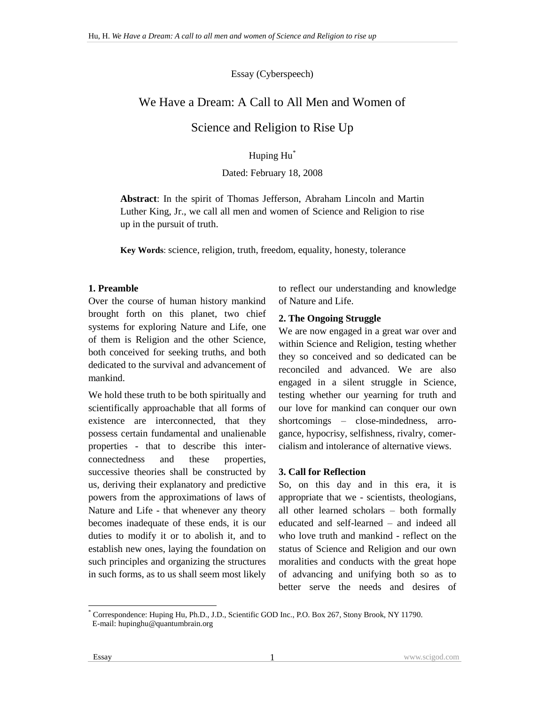Essay (Cyberspeech)

# We Have a Dream: A Call to All Men and Women of

Science and Religion to Rise Up

Huping Hu\*

### Dated: February 18, 2008

**Abstract**: In the spirit of Thomas Jefferson, Abraham Lincoln and Martin Luther King, Jr., we call all men and women of Science and Religion to rise up in the pursuit of truth.

**Key Words**: science, religion, truth, freedom, equality, honesty, tolerance

### **1. Preamble**

Over the course of human history mankind brought forth on this planet, two chief systems for exploring Nature and Life, one of them is Religion and the other Science, both conceived for seeking truths, and both dedicated to the survival and advancement of mankind.

We hold these truth to be both spiritually and scientifically approachable that all forms of existence are interconnected, that they possess certain fundamental and unalienable properties - that to describe this interconnectedness and these properties, successive theories shall be constructed by us, deriving their explanatory and predictive powers from the approximations of laws of Nature and Life - that whenever any theory becomes inadequate of these ends, it is our duties to modify it or to abolish it, and to establish new ones, laying the foundation on such principles and organizing the structures in such forms, as to us shall seem most likely to reflect our understanding and knowledge of Nature and Life.

### **2. The Ongoing Struggle**

We are now engaged in a great war over and within Science and Religion, testing whether they so conceived and so dedicated can be reconciled and advanced. We are also engaged in a silent struggle in Science, testing whether our yearning for truth and our love for mankind can conquer our own shortcomings – close-mindedness, arrogance, hypocrisy, selfishness, rivalry, comercialism and intolerance of alternative views.

### **3. Call for Reflection**

So, on this day and in this era, it is appropriate that we - scientists, theologians, all other learned scholars – both formally educated and self-learned – and indeed all who love truth and mankind - reflect on the status of Science and Religion and our own moralities and conducts with the great hope of advancing and unifying both so as to better serve the needs and desires of

 $\overline{a}$ \* Correspondence: Huping Hu, Ph.D., J.D., Scientific GOD Inc., P.O. Box 267, Stony Brook, NY 11790. E-mail: hupinghu@quantumbrain.org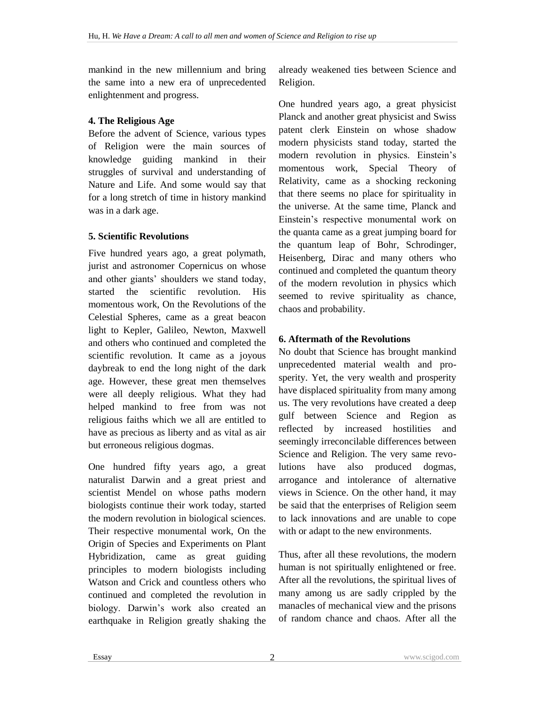mankind in the new millennium and bring the same into a new era of unprecedented enlightenment and progress.

## **4. The Religious Age**

Before the advent of Science, various types of Religion were the main sources of knowledge guiding mankind in their struggles of survival and understanding of Nature and Life. And some would say that for a long stretch of time in history mankind was in a dark age.

## **5. Scientific Revolutions**

Five hundred years ago, a great polymath, jurist and astronomer Copernicus on whose and other giants' shoulders we stand today, started the scientific revolution. His momentous work, On the Revolutions of the Celestial Spheres, came as a great beacon light to Kepler, Galileo, Newton, Maxwell and others who continued and completed the scientific revolution. It came as a joyous daybreak to end the long night of the dark age. However, these great men themselves were all deeply religious. What they had helped mankind to free from was not religious faiths which we all are entitled to have as precious as liberty and as vital as air but erroneous religious dogmas.

One hundred fifty years ago, a great naturalist Darwin and a great priest and scientist Mendel on whose paths modern biologists continue their work today, started the modern revolution in biological sciences. Their respective monumental work, On the Origin of Species and Experiments on Plant Hybridization, came as great guiding principles to modern biologists including Watson and Crick and countless others who continued and completed the revolution in biology. Darwin's work also created an earthquake in Religion greatly shaking the already weakened ties between Science and Religion.

One hundred years ago, a great physicist Planck and another great physicist and Swiss patent clerk Einstein on whose shadow modern physicists stand today, started the modern revolution in physics. Einstein's momentous work, Special Theory of Relativity, came as a shocking reckoning that there seems no place for spirituality in the universe. At the same time, Planck and Einstein's respective monumental work on the quanta came as a great jumping board for the quantum leap of Bohr, Schrodinger, Heisenberg, Dirac and many others who continued and completed the quantum theory of the modern revolution in physics which seemed to revive spirituality as chance, chaos and probability.

## **6. Aftermath of the Revolutions**

No doubt that Science has brought mankind unprecedented material wealth and prosperity. Yet, the very wealth and prosperity have displaced spirituality from many among us. The very revolutions have created a deep gulf between Science and Region as reflected by increased hostilities and seemingly irreconcilable differences between Science and Religion. The very same revolutions have also produced dogmas, arrogance and intolerance of alternative views in Science. On the other hand, it may be said that the enterprises of Religion seem to lack innovations and are unable to cope with or adapt to the new environments.

Thus, after all these revolutions, the modern human is not spiritually enlightened or free. After all the revolutions, the spiritual lives of many among us are sadly crippled by the manacles of mechanical view and the prisons of random chance and chaos. After all the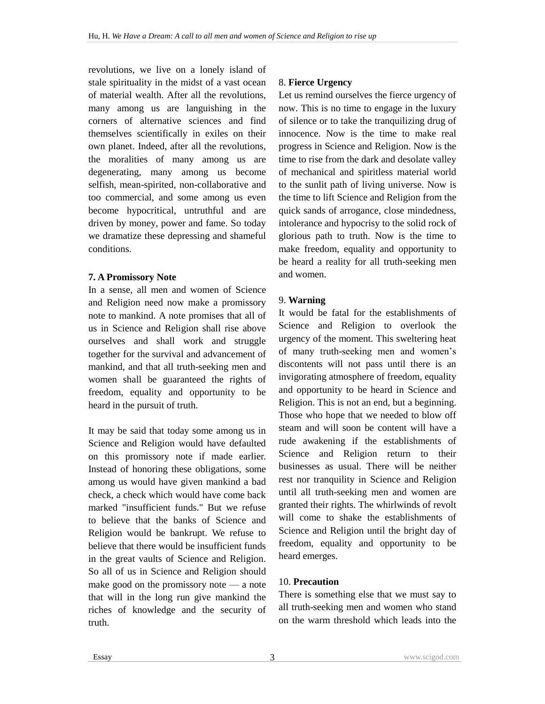revolutions, we live on a lonely island of stale spirituality in the midst of a vast ocean of material wealth. After all the revolutions, many among us are languishing in the corners of alternative sciences and find themselves scientifically in exiles on their own planet. Indeed, after all the revolutions, the moralities of many among us are degenerating, many among us become selfish, mean-spirited, non-collaborative and too commercial, and some among us even become hypocritical, untruthful and are driven by money, power and fame. So today we dramatize these depressing and shameful conditions.

#### **7. A Promissory Note**

In a sense, all men and women of Science and Religion need now make a promissory note to mankind. A note promises that all of us in Science and Religion shall rise above ourselves and shall work and struggle together for the survival and advancement of mankind, and that all truth-seeking men and women shall be guaranteed the rights of freedom, equality and opportunity to be heard in the pursuit of truth.

It may be said that today some among us in Science and Religion would have defaulted on this promissory note if made earlier. Instead of honoring these obligations, some among us would have given mankind a bad check, a check which would have come back marked "insufficient funds." But we refuse to believe that the banks of Science and Religion would be bankrupt. We refuse to believe that there would be insufficient funds in the great vaults of Science and Religion. So all of us in Science and Religion should make good on the promissory note — a note that will in the long run give mankind the riches of knowledge and the security of truth.

### 8. **Fierce Urgency**

Let us remind ourselves the fierce urgency of now. This is no time to engage in the luxury of silence or to take the tranquilizing drug of innocence. Now is the time to make real progress in Science and Religion. Now is the time to rise from the dark and desolate valley of mechanical and spiritless material world to the sunlit path of living universe. Now is the time to lift Science and Religion from the quick sands of arrogance, close mindedness, intolerance and hypocrisy to the solid rock of glorious path to truth. Now is the time to make freedom, equality and opportunity to be heard a reality for all truth-seeking men and women.

### 9. **Warning**

It would be fatal for the establishments of Science and Religion to overlook the urgency of the moment. This sweltering heat of many truth-seeking men and women's discontents will not pass until there is an invigorating atmosphere of freedom, equality and opportunity to be heard in Science and Religion. This is not an end, but a beginning. Those who hope that we needed to blow off steam and will soon be content will have a rude awakening if the establishments of Science and Religion return to their businesses as usual. There will be neither rest nor tranquility in Science and Religion until all truth-seeking men and women are granted their rights. The whirlwinds of revolt will come to shake the establishments of Science and Religion until the bright day of freedom, equality and opportunity to be heard emerges.

### 10. **Precaution**

There is something else that we must say to all truth-seeking men and women who stand on the warm threshold which leads into the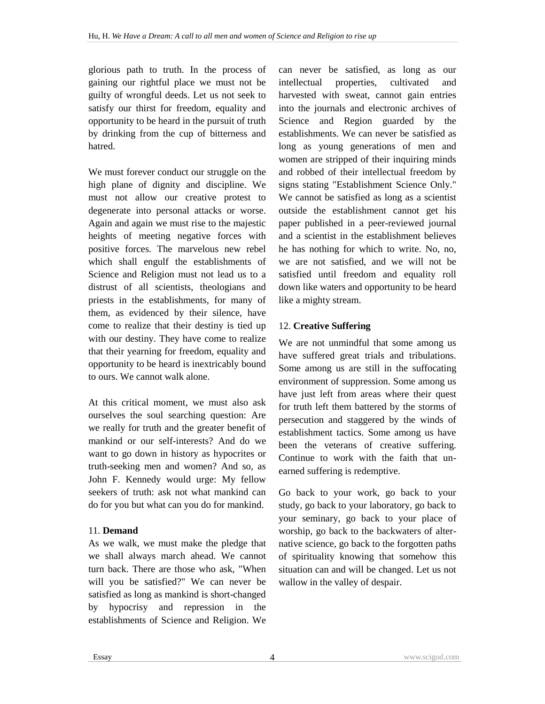glorious path to truth. In the process of gaining our rightful place we must not be guilty of wrongful deeds. Let us not seek to satisfy our thirst for freedom, equality and opportunity to be heard in the pursuit of truth by drinking from the cup of bitterness and hatred.

We must forever conduct our struggle on the high plane of dignity and discipline. We must not allow our creative protest to degenerate into personal attacks or worse. Again and again we must rise to the majestic heights of meeting negative forces with positive forces. The marvelous new rebel which shall engulf the establishments of Science and Religion must not lead us to a distrust of all scientists, theologians and priests in the establishments, for many of them, as evidenced by their silence, have come to realize that their destiny is tied up with our destiny. They have come to realize that their yearning for freedom, equality and opportunity to be heard is inextricably bound to ours. We cannot walk alone.

At this critical moment, we must also ask ourselves the soul searching question: Are we really for truth and the greater benefit of mankind or our self-interests? And do we want to go down in history as hypocrites or truth-seeking men and women? And so, as John F. Kennedy would urge: My fellow seekers of truth: ask not what mankind can do for you but what can you do for mankind.

### 11. **Demand**

As we walk, we must make the pledge that we shall always march ahead. We cannot turn back. There are those who ask, "When will you be satisfied?" We can never be satisfied as long as mankind is short-changed by hypocrisy and repression in the establishments of Science and Religion. We can never be satisfied, as long as our intellectual properties, cultivated and harvested with sweat, cannot gain entries into the journals and electronic archives of Science and Region guarded by the establishments. We can never be satisfied as long as young generations of men and women are stripped of their inquiring minds and robbed of their intellectual freedom by signs stating "Establishment Science Only." We cannot be satisfied as long as a scientist outside the establishment cannot get his paper published in a peer-reviewed journal and a scientist in the establishment believes he has nothing for which to write. No, no, we are not satisfied, and we will not be satisfied until freedom and equality roll down like waters and opportunity to be heard like a mighty stream.

### 12. **Creative Suffering**

We are not unmindful that some among us have suffered great trials and tribulations. Some among us are still in the suffocating environment of suppression. Some among us have just left from areas where their quest for truth left them battered by the storms of persecution and staggered by the winds of establishment tactics. Some among us have been the veterans of creative suffering. Continue to work with the faith that unearned suffering is redemptive.

Go back to your work, go back to your study, go back to your laboratory, go back to your seminary, go back to your place of worship, go back to the backwaters of alternative science, go back to the forgotten paths of spirituality knowing that somehow this situation can and will be changed. Let us not wallow in the valley of despair.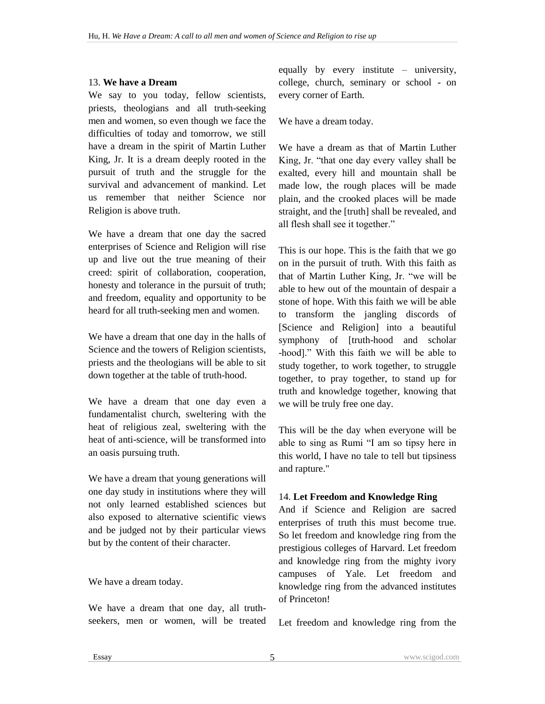### 13. **We have a Dream**

We say to you today, fellow scientists, priests, theologians and all truth-seeking men and women, so even though we face the difficulties of today and tomorrow, we still have a dream in the spirit of Martin Luther King, Jr. It is a dream deeply rooted in the pursuit of truth and the struggle for the survival and advancement of mankind. Let us remember that neither Science nor Religion is above truth.

We have a dream that one day the sacred enterprises of Science and Religion will rise up and live out the true meaning of their creed: spirit of collaboration, cooperation, honesty and tolerance in the pursuit of truth; and freedom, equality and opportunity to be heard for all truth-seeking men and women.

We have a dream that one day in the halls of Science and the towers of Religion scientists, priests and the theologians will be able to sit down together at the table of truth-hood.

We have a dream that one day even a fundamentalist church, sweltering with the heat of religious zeal, sweltering with the heat of anti-science, will be transformed into an oasis pursuing truth.

We have a dream that young generations will one day study in institutions where they will not only learned established sciences but also exposed to alternative scientific views and be judged not by their particular views but by the content of their character.

### We have a dream today.

We have a dream that one day, all truthseekers, men or women, will be treated equally by every institute – university, college, church, seminary or school - on every corner of Earth.

We have a dream today.

We have a dream as that of Martin Luther King, Jr. "that one day every valley shall be exalted, every hill and mountain shall be made low, the rough places will be made plain, and the crooked places will be made straight, and the [truth] shall be revealed, and all flesh shall see it together."

This is our hope. This is the faith that we go on in the pursuit of truth. With this faith as that of Martin Luther King, Jr. "we will be able to hew out of the mountain of despair a stone of hope. With this faith we will be able to transform the jangling discords of [Science and Religion] into a beautiful symphony of [truth-hood and scholar -hood]." With this faith we will be able to study together, to work together, to struggle together, to pray together, to stand up for truth and knowledge together, knowing that we will be truly free one day.

This will be the day when everyone will be able to sing as Rumi "I am so tipsy here in this world, I have no tale to tell but tipsiness and rapture."

### 14. **Let Freedom and Knowledge Ring**

And if Science and Religion are sacred enterprises of truth this must become true. So let freedom and knowledge ring from the prestigious colleges of Harvard. Let freedom and knowledge ring from the mighty ivory campuses of Yale. Let freedom and knowledge ring from the advanced institutes of Princeton!

Let freedom and knowledge ring from the